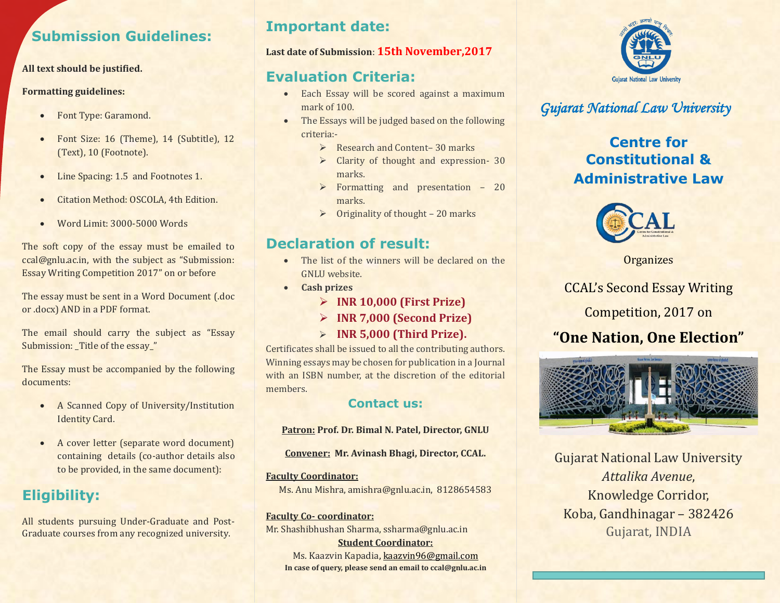## **Submission Guidelines:**

#### **All text should be justified.**

#### **Formatting guidelines:**

- Font Type: Garamond.
- Font Size: 16 (Theme), 14 (Subtitle), 12 (Text), 10 (Footnote).
- Line Spacing: 1.5 and Footnotes 1.
- **•** Citation Method: OSCOLA, 4th Edition.
- Word Limit: 3000-5000 Words

The soft copy of the essay must be emailed to ccal@gnlu.ac.in, with the subject as "Submission: Essay Writing Competition 2017" on or before

The essay must be sent in a Word Document (.doc or .docx) AND in a PDF format.

The email should carry the subject as "Essay Submission: Title of the essay\_"

The Essay must be accompanied by the following documents:

- A Scanned Copy of University/Institution Identity Card.
- A cover letter (separate word document) containing details (co-author details also to be provided, in the same document):

# **Eligibility:**

All students pursuing Under-Graduate and Post-Graduate courses from any recognized university.

### **Important date:**

#### **Last date of Submission**: **15th November,2017**

## **Evaluation Criteria:**

- Each Essay will be scored against a maximum mark of 100.
- The Essays will be judged based on the following criteria:-
	- **EXECUTE:** Research and Content– 30 marks
	- $\triangleright$  Clarity of thought and expression- 30 marks.
	- $\triangleright$  Formatting and presentation 20 marks.
	- $\triangleright$  Originality of thought 20 marks

## **Declaration of result:**

- The list of the winners will be declared on the GNLU website.
- **Cash prizes**
	- **INR 10,000 (First Prize)**
	- **INR 7,000 (Second Prize)**
	- **INR 5,000 (Third Prize).**

Certificates shall be issued to all the contributing authors. Winning essays may be chosen for publication in a Journal with an ISBN number, at the discretion of the editorial members.

### **Contact us:**

#### **Patron: Prof. Dr. Bimal N. Patel, Director, GNLU**

**Convener: Mr. Avinash Bhagi, Director, CCAL.**

**Faculty Coordinator:**  Ms. Anu Mishra, amishra@gnlu.ac.in, 8128654583

**Faculty Co- coordinator:** Mr. Shashibhushan Sharma, ssharma@gnlu.ac.in **Student Coordinator:** Ms. Kaazvin Kapadia[, kaazvin96@gmail.com](mailto:kaazvin96@gmail.com) **In case of query, please send an email to ccal@gnlu.ac.in**



## *Gujarat National Law University*

### **Centre for Constitutional & Administrative Law**



**Organizes** 

CCAL's Second Essay Writing

Competition, 2017 on

# **"One Nation, One Election"**



Gujarat National Law University *Attalika Avenue*, Knowledge Corridor, Koba, Gandhinagar – 382426 Gujarat, INDIA